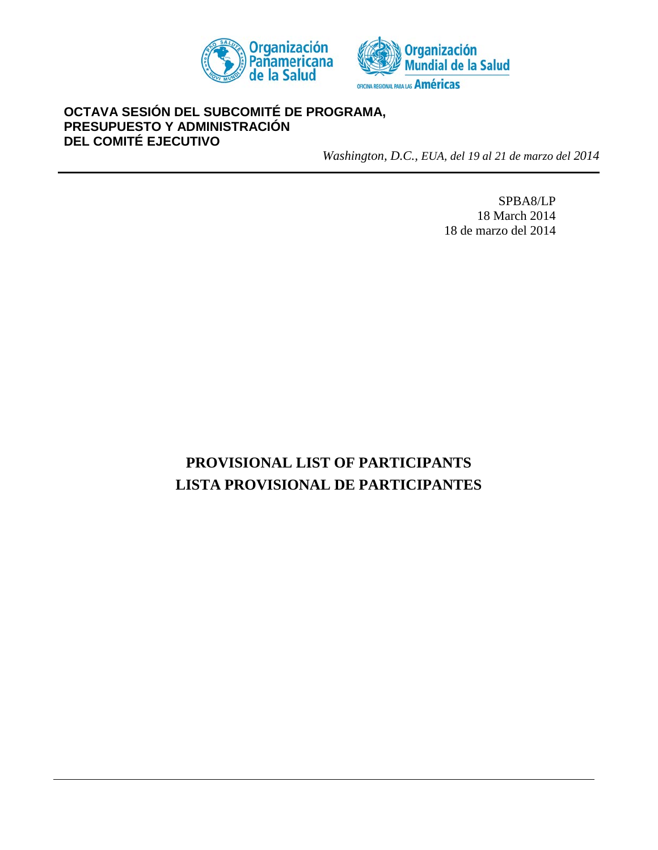



## **OCTAVA SESIÓN DEL SUBCOMITÉ DE PROGRAMA, PRESUPUESTO Y ADMINISTRACIÓN DEL COMITÉ EJECUTIVO**

*Washington, D.C., EUA, del 19 al 21 de marzo del 2014*

SPBA8/LP 18 March 2014 18 de marzo del 2014

# **PROVISIONAL LIST OF PARTICIPANTS LISTA PROVISIONAL DE PARTICIPANTES**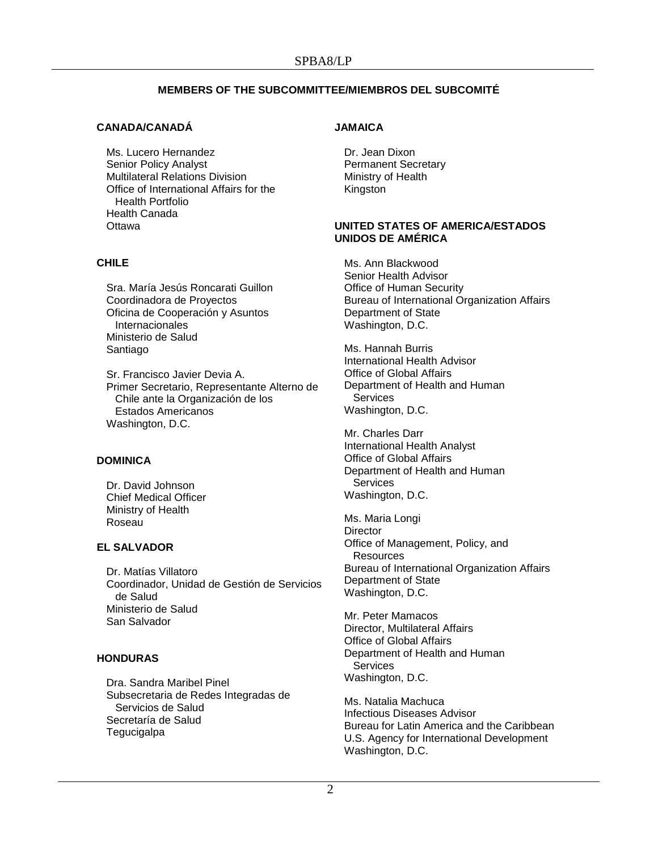## **MEMBERS OF THE SUBCOMMITTEE/MIEMBROS DEL SUBCOMITÉ**

## **CANADA/CANADÁ**

Ms. Lucero Hernandez Senior Policy Analyst Multilateral Relations Division Office of International Affairs for the Health Portfolio Health Canada **Ottawa** 

## **CHILE**

Sra. María Jesús Roncarati Guillon Coordinadora de Proyectos Oficina de Cooperación y Asuntos Internacionales Ministerio de Salud Santiago

Sr. Francisco Javier Devia A. Primer Secretario, Representante Alterno de Chile ante la Organización de los Estados Americanos Washington, D.C.

## **DOMINICA**

Dr. David Johnson Chief Medical Officer Ministry of Health Roseau

## **EL SALVADOR**

Dr. Matías Villatoro Coordinador, Unidad de Gestión de Servicios de Salud Ministerio de Salud San Salvador

## **HONDURAS**

Dra. Sandra Maribel Pinel Subsecretaria de Redes Integradas de Servicios de Salud Secretaría de Salud **Tegucigalpa** 

## **JAMAICA**

Dr. Jean Dixon Permanent Secretary Ministry of Health Kingston

## **UNITED STATES OF AMERICA/ESTADOS UNIDOS DE AMÉRICA**

Ms. Ann Blackwood Senior Health Advisor Office of Human Security Bureau of International Organization Affairs Department of State Washington, D.C.

Ms. Hannah Burris International Health Advisor Office of Global Affairs Department of Health and Human **Services** Washington, D.C.

Mr. Charles Darr International Health Analyst Office of Global Affairs Department of Health and Human **Services** Washington, D.C.

Ms. Maria Longi **Director** Office of Management, Policy, and **Resources** Bureau of International Organization Affairs Department of State Washington, D.C.

Mr. Peter Mamacos Director, Multilateral Affairs Office of Global Affairs Department of Health and Human Services Washington, D.C.

Ms. Natalia Machuca Infectious Diseases Advisor Bureau for Latin America and the Caribbean U.S. Agency for International Development Washington, D.C.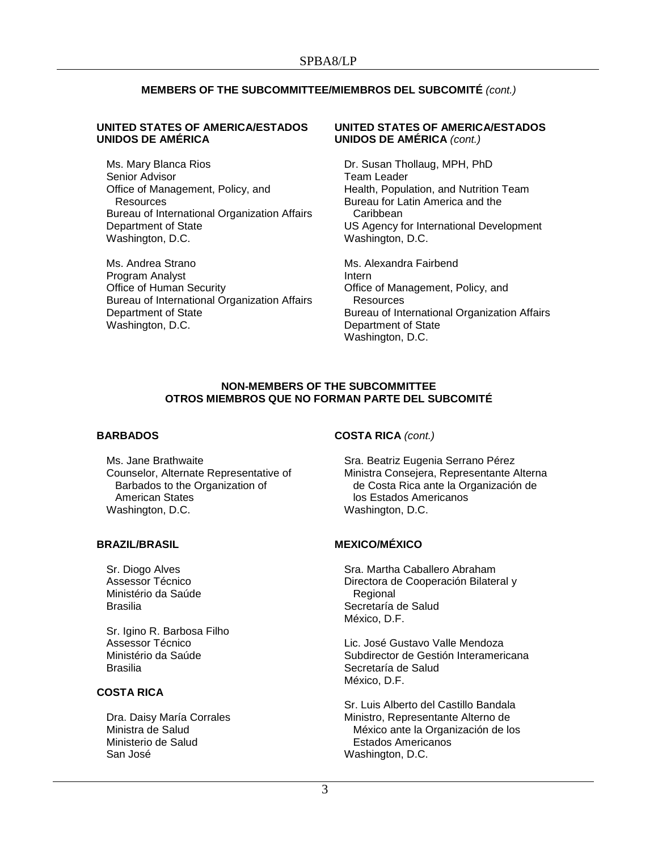## **MEMBERS OF THE SUBCOMMITTEE/MIEMBROS DEL SUBCOMITÉ** *(cont.)*

#### **UNITED STATES OF AMERICA/ESTADOS UNIDOS DE AMÉRICA**

Ms. Mary Blanca Rios Senior Advisor Office of Management, Policy, and **Resources** Bureau of International Organization Affairs Department of State Washington, D.C.

Ms. Andrea Strano Program Analyst Office of Human Security Bureau of International Organization Affairs Department of State Washington, D.C.

#### **UNITED STATES OF AMERICA/ESTADOS UNIDOS DE AMÉRICA** *(cont.)*

Dr. Susan Thollaug, MPH, PhD Team Leader Health, Population, and Nutrition Team Bureau for Latin America and the **Caribbean** US Agency for International Development Washington, D.C.

Ms. Alexandra Fairbend Intern Office of Management, Policy, and **Resources** Bureau of International Organization Affairs Department of State Washington, D.C.

#### **NON-MEMBERS OF THE SUBCOMMITTEE OTROS MIEMBROS QUE NO FORMAN PARTE DEL SUBCOMITÉ**

#### **BARBADOS**

Ms. Jane Brathwaite Counselor, Alternate Representative of Barbados to the Organization of American States Washington, D.C.

#### **BRAZIL/BRASIL**

Sr. Diogo Alves Assessor Técnico Ministério da Saúde Brasilia

Sr. Igino R. Barbosa Filho Assessor Técnico Ministério da Saúde Brasilia

## **COSTA RICA**

Dra. Daisy María Corrales Ministra de Salud Ministerio de Salud San José

## **COSTA RICA** *(cont.)*

Sra. Beatriz Eugenia Serrano Pérez Ministra Consejera, Representante Alterna de Costa Rica ante la Organización de los Estados Americanos Washington, D.C.

## **MEXICO/MÉXICO**

Sra. Martha Caballero Abraham Directora de Cooperación Bilateral y Regional Secretaría de Salud México, D.F.

Lic. José Gustavo Valle Mendoza Subdirector de Gestión Interamericana Secretaría de Salud México, D.F.

Sr. Luis Alberto del Castillo Bandala Ministro, Representante Alterno de México ante la Organización de los Estados Americanos Washington, D.C.